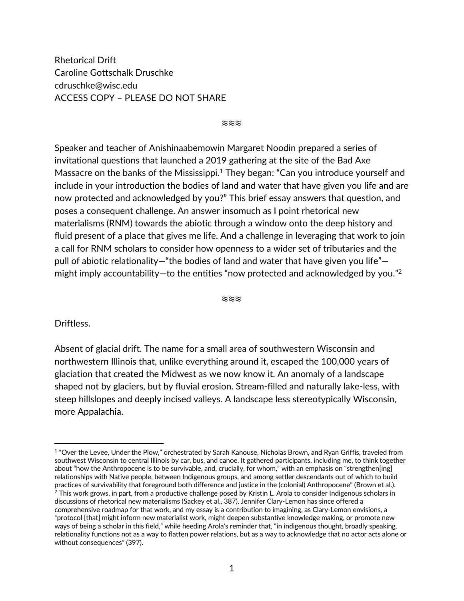Rhetorical Drift Caroline Gottschalk Druschke cdruschke@wisc.edu ACCESS COPY – PLEASE DO NOT SHARE

≋≋≋

Speaker and teacher of Anishinaabemowin Margaret Noodin prepared a series of invitational questions that launched a 2019 gathering at the site of the Bad Axe Massacre on the banks of the Mississippi.<sup>1</sup> They began: "Can you introduce yourself and include in your introduction the bodies of land and water that have given you life and are now protected and acknowledged by you?" This brief essay answers that question, and poses a consequent challenge. An answer insomuch as I point rhetorical new materialisms (RNM) towards the abiotic through a window onto the deep history and fluid present of a place that gives me life. And a challenge in leveraging that work to join a call for RNM scholars to consider how openness to a wider set of tributaries and the pull of abiotic relationality—"the bodies of land and water that have given you life" might imply accountability—to the entities "now protected and acknowledged by you."<sup>2</sup>

≋≋≋

Driftless.

Absent of glacial drift. The name for a small area of southwestern Wisconsin and northwestern Illinois that, unlike everything around it, escaped the 100,000 years of glaciation that created the Midwest as we now know it. An anomaly of a landscape shaped not by glaciers, but by fluvial erosion. Stream-filled and naturally lake-less, with steep hillslopes and deeply incised valleys. A landscape less stereotypically Wisconsin, more Appalachia.

<sup>1</sup> "Over the Levee, Under the Plow," orchestrated by Sarah Kanouse, Nicholas Brown, and Ryan Griffis, traveled from southwest Wisconsin to central Illinois by car, bus, and canoe. It gathered participants, including me, to think together about "how the Anthropocene is to be survivable, and, crucially, for whom," with an emphasis on "strengthen[ing] relationships with Native people, between Indigenous groups, and among settler descendants out of which to build practices of survivability that foreground both difference and justice in the (colonial) Anthropocene" (Brown et al.).<br><sup>2</sup> This work grows, in part, from a productive challenge posed by Kristin L. Arola to consider Indigen discussions of rhetorical new materialisms (Sackey et al., 387). Jennifer Clary-Lemon has since offered a comprehensive roadmap for that work, and my essay is a contribution to imagining, as Clary-Lemon envisions, a "protocol [that] might inform new materialist work, might deepen substantive knowledge making, or promote new ways of being a scholar in this field," while heeding Arola's reminder that, "in indigenous thought, broadly speaking, relationality functions not as a way to flatten power relations, but as a way to acknowledge that no actor acts alone or without consequences" (397).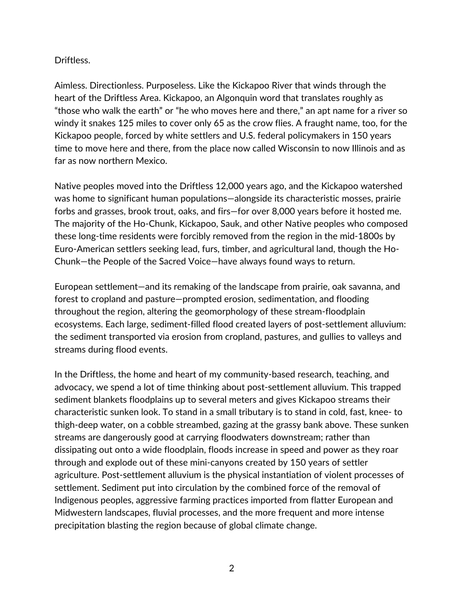## Driftless.

Aimless. Directionless. Purposeless. Like the Kickapoo River that winds through the heart of the Driftless Area. Kickapoo, an Algonquin word that translates roughly as "those who walk the earth" or "he who moves here and there," an apt name for a river so windy it snakes 125 miles to cover only 65 as the crow flies. A fraught name, too, for the Kickapoo people, forced by white settlers and U.S. federal policymakers in 150 years time to move here and there, from the place now called Wisconsin to now Illinois and as far as now northern Mexico.

Native peoples moved into the Driftless 12,000 years ago, and the Kickapoo watershed was home to significant human populations—alongside its characteristic mosses, prairie forbs and grasses, brook trout, oaks, and firs—for over 8,000 years before it hosted me. The majority of the Ho-Chunk, Kickapoo, Sauk, and other Native peoples who composed these long-time residents were forcibly removed from the region in the mid-1800s by Euro-American settlers seeking lead, furs, timber, and agricultural land, though the Ho-Chunk—the People of the Sacred Voice—have always found ways to return.

European settlement—and its remaking of the landscape from prairie, oak savanna, and forest to cropland and pasture—prompted erosion, sedimentation, and flooding throughout the region, altering the geomorphology of these stream-floodplain ecosystems. Each large, sediment-filled flood created layers of post-settlement alluvium: the sediment transported via erosion from cropland, pastures, and gullies to valleys and streams during flood events.

In the Driftless, the home and heart of my community-based research, teaching, and advocacy, we spend a lot of time thinking about post-settlement alluvium. This trapped sediment blankets floodplains up to several meters and gives Kickapoo streams their characteristic sunken look. To stand in a small tributary is to stand in cold, fast, knee- to thigh-deep water, on a cobble streambed, gazing at the grassy bank above. These sunken streams are dangerously good at carrying floodwaters downstream; rather than dissipating out onto a wide floodplain, floods increase in speed and power as they roar through and explode out of these mini-canyons created by 150 years of settler agriculture. Post-settlement alluvium is the physical instantiation of violent processes of settlement. Sediment put into circulation by the combined force of the removal of Indigenous peoples, aggressive farming practices imported from flatter European and Midwestern landscapes, fluvial processes, and the more frequent and more intense precipitation blasting the region because of global climate change.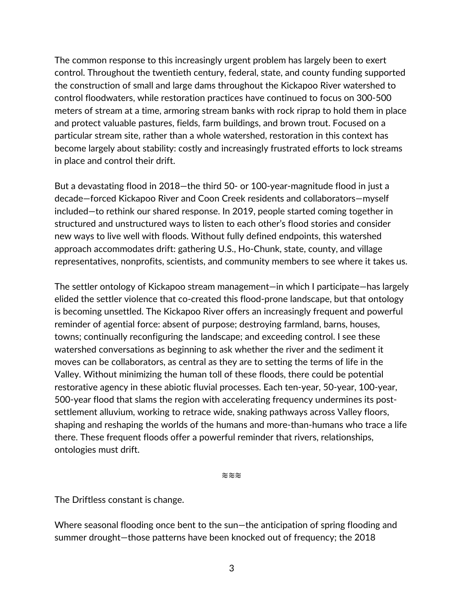The common response to this increasingly urgent problem has largely been to exert control. Throughout the twentieth century, federal, state, and county funding supported the construction of small and large dams throughout the Kickapoo River watershed to control floodwaters, while restoration practices have continued to focus on 300-500 meters of stream at a time, armoring stream banks with rock riprap to hold them in place and protect valuable pastures, fields, farm buildings, and brown trout. Focused on a particular stream site, rather than a whole watershed, restoration in this context has become largely about stability: costly and increasingly frustrated efforts to lock streams in place and control their drift.

But a devastating flood in 2018—the third 50- or 100-year-magnitude flood in just a decade—forced Kickapoo River and Coon Creek residents and collaborators—myself included—to rethink our shared response. In 2019, people started coming together in structured and unstructured ways to listen to each other's flood stories and consider new ways to live well with floods. Without fully defined endpoints, this watershed approach accommodates drift: gathering U.S., Ho-Chunk, state, county, and village representatives, nonprofits, scientists, and community members to see where it takes us.

The settler ontology of Kickapoo stream management—in which I participate—has largely elided the settler violence that co-created this flood-prone landscape, but that ontology is becoming unsettled. The Kickapoo River offers an increasingly frequent and powerful reminder of agential force: absent of purpose; destroying farmland, barns, houses, towns; continually reconfiguring the landscape; and exceeding control. I see these watershed conversations as beginning to ask whether the river and the sediment it moves can be collaborators, as central as they are to setting the terms of life in the Valley. Without minimizing the human toll of these floods, there could be potential restorative agency in these abiotic fluvial processes. Each ten-year, 50-year, 100-year, 500-year flood that slams the region with accelerating frequency undermines its postsettlement alluvium, working to retrace wide, snaking pathways across Valley floors, shaping and reshaping the worlds of the humans and more-than-humans who trace a life there. These frequent floods offer a powerful reminder that rivers, relationships, ontologies must drift.

≋≋≋

The Driftless constant is change.

Where seasonal flooding once bent to the sun—the anticipation of spring flooding and summer drought—those patterns have been knocked out of frequency; the 2018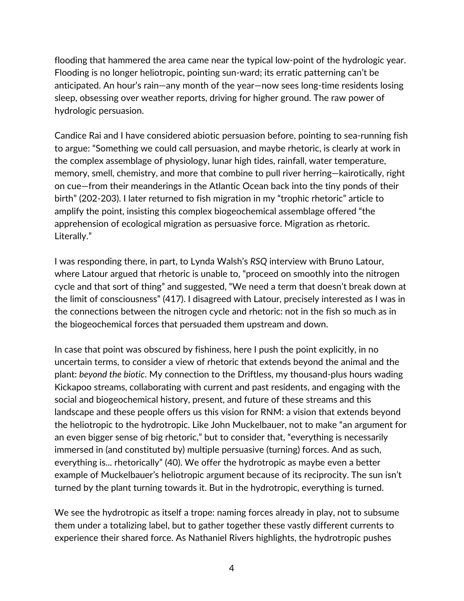flooding that hammered the area came near the typical low-point of the hydrologic year. Flooding is no longer heliotropic, pointing sun-ward; its erratic patterning can't be anticipated. An hour's rain—any month of the year—now sees long-time residents losing sleep, obsessing over weather reports, driving for higher ground. The raw power of hydrologic persuasion.

Candice Rai and I have considered abiotic persuasion before, pointing to sea-running fish to argue: "Something we could call persuasion, and maybe rhetoric, is clearly at work in the complex assemblage of physiology, lunar high tides, rainfall, water temperature, memory, smell, chemistry, and more that combine to pull river herring—kairotically, right on cue—from their meanderings in the Atlantic Ocean back into the tiny ponds of their birth" (202-203). I later returned to fish migration in my "trophic rhetoric" article to amplify the point, insisting this complex biogeochemical assemblage offered "the apprehension of ecological migration as persuasive force. Migration as rhetoric. Literally."

I was responding there, in part, to Lynda Walsh's *RSQ* interview with Bruno Latour, where Latour argued that rhetoric is unable to, "proceed on smoothly into the nitrogen cycle and that sort of thing" and suggested, "We need a term that doesn't break down at the limit of consciousness" (417). I disagreed with Latour, precisely interested as I was in the connections between the nitrogen cycle and rhetoric: not in the fish so much as in the biogeochemical forces that persuaded them upstream and down.

In case that point was obscured by fishiness, here I push the point explicitly, in no uncertain terms, to consider a view of rhetoric that extends beyond the animal and the plant: *beyond the biotic*. My connection to the Driftless, my thousand-plus hours wading Kickapoo streams, collaborating with current and past residents, and engaging with the social and biogeochemical history, present, and future of these streams and this landscape and these people offers us this vision for RNM: a vision that extends beyond the heliotropic to the hydrotropic. Like John Muckelbauer, not to make "an argument for an even bigger sense of big rhetoric," but to consider that, "everything is necessarily immersed in (and constituted by) multiple persuasive (turning) forces. And as such, everything is... rhetorically" (40). We offer the hydrotropic as maybe even a better example of Muckelbauer's heliotropic argument because of its reciprocity. The sun isn't turned by the plant turning towards it. But in the hydrotropic, everything is turned.

We see the hydrotropic as itself a trope: naming forces already in play, not to subsume them under a totalizing label, but to gather together these vastly different currents to experience their shared force. As Nathaniel Rivers highlights, the hydrotropic pushes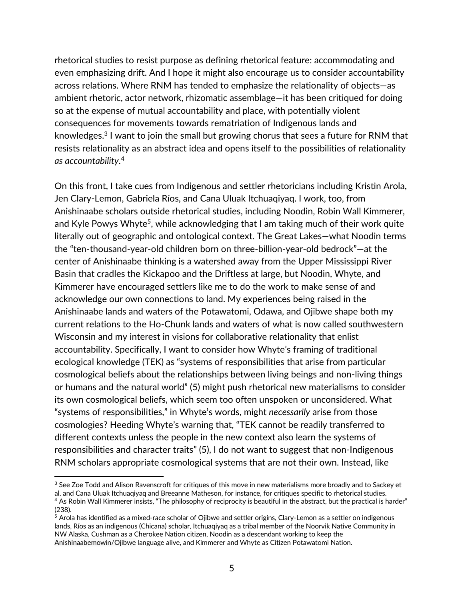rhetorical studies to resist purpose as defining rhetorical feature: accommodating and even emphasizing drift. And I hope it might also encourage us to consider accountability across relations. Where RNM has tended to emphasize the relationality of objects—as ambient rhetoric, actor network, rhizomatic assemblage—it has been critiqued for doing so at the expense of mutual accountability and place, with potentially violent consequences for movements towards rematriation of Indigenous lands and knowledges.3 I want to join the small but growing chorus that sees a future for RNM that resists relationality as an abstract idea and opens itself to the possibilities of relationality *as accountability*. 4

On this front, I take cues from Indigenous and settler rhetoricians including Kristin Arola, Jen Clary-Lemon, Gabriela Ríos, and Cana Uluak Itchuaqiyaq. I work, too, from Anishinaabe scholars outside rhetorical studies, including Noodin, Robin Wall Kimmerer, and Kyle Powys Whyte<sup>5</sup>, while acknowledging that I am taking much of their work quite literally out of geographic and ontological context. The Great Lakes—what Noodin terms the "ten-thousand-year-old children born on three-billion-year-old bedrock"—at the center of Anishinaabe thinking is a watershed away from the Upper Mississippi River Basin that cradles the Kickapoo and the Driftless at large, but Noodin, Whyte, and Kimmerer have encouraged settlers like me to do the work to make sense of and acknowledge our own connections to land. My experiences being raised in the Anishinaabe lands and waters of the Potawatomi, Odawa, and Ojibwe shape both my current relations to the Ho-Chunk lands and waters of what is now called southwestern Wisconsin and my interest in visions for collaborative relationality that enlist accountability. Specifically, I want to consider how Whyte's framing of traditional ecological knowledge (TEK) as "systems of responsibilities that arise from particular cosmological beliefs about the relationships between living beings and non-living things or humans and the natural world" (5) might push rhetorical new materialisms to consider its own cosmological beliefs, which seem too often unspoken or unconsidered. What "systems of responsibilities," in Whyte's words, might *necessarily* arise from those cosmologies? Heeding Whyte's warning that, "TEK cannot be readily transferred to different contexts unless the people in the new context also learn the systems of responsibilities and character traits" (5), I do not want to suggest that non-Indigenous RNM scholars appropriate cosmological systems that are not their own. Instead, like

<sup>&</sup>lt;sup>3</sup> See Zoe Todd and Alison Ravenscroft for critiques of this move in new materialisms more broadly and to Sackey et al. and Cana Uluak Itchuaqiyaq and Breeanne Matheson, for instance, for critiques specific to rhetorical studies.  $4$  As Robin Wall Kimmerer insists, "The philosophy of reciprocity is beautiful in the abstract, but the practical is harder" (238).

<sup>&</sup>lt;sup>5</sup> Arola has identified as a mixed-race scholar of Ojibwe and settler origins, Clary-Lemon as a settler on indigenous lands, Ríos as an indigenous (Chicana) scholar, Itchuaqiyaq as a tribal member of the Noorvik Native Community in NW Alaska, Cushman as a Cherokee Nation citizen, Noodin as a descendant working to keep the Anishinaabemowin/Ojibwe language alive, and Kimmerer and Whyte as Citizen Potawatomi Nation.